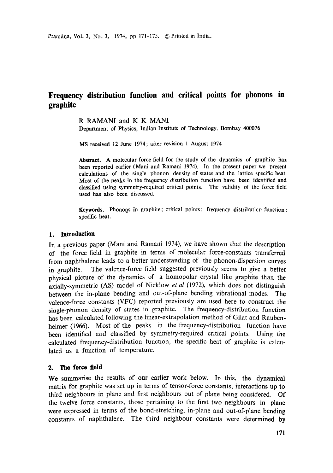# **Frequency distribution function and critical points for phonons in graphite**

R RAMANI and K K MANI Department of Physics, Indian Institute of Technology, Bombay 400076

MS received 12 June 1974; after revision 1 August 1974

**Abstract.** A molecular force field for the study of the dynamics of graphite **has**  been reported earlier (Mani and Ramani 1974). In the present paper we present calculations of the single phonon density of states and the lattice specific heat. Most of the peaks in the frequency distribution function have been identified and classified using symmetry-required critical points. The validity of the force field used has also been discussed.

**Keywords.** Phonons in graphite; critical points; frequency distribution function: specific heat.

# **1. Introduction**

In a previous paper (Mani and Ramani 1974), we have shown that the description of the force field in graphite in terms of molecular force-constants transferred from naphthalene leads to a better understanding of the phonon-dispersion curves in graphite. The valence-force field suggested previously seems to give a better physical picture of the dynamics of a homopolar crystal like graphite than the axially-symmetric (AS) model of Nicklow *et al* (1972), which does not distinguish between the in-plane bending and out-of-plane bending vibrational modes. The valence-force constants (VFC) reported previously are used here to construct the single-phonon density of states in graphite. The frequency-distribution function has been calculated following the linear-extrapolation method of Gilat and Raubenheimer (1966). Most of the peaks in the frequency-distribution function have been identified and classified by symmetry-required critical points. Using the calculated frequency-distribution function, the specific heat of graphite is calculated as a function of temperature.

# **2. The force field**

We summarise the results of our earlier work below. In this, the dynamical matrix for graphite was set up in terms of tensor-force constants, interactions up to third neighbours in plane and first neighbours out of plane being considered. Of the twelve force constants, those pertaining to the first two neighbours in plane were expressed in terms of the bond-stretching, in-plane and out-of-plane bending constants of naphthalene. The third neighbour constants were determined by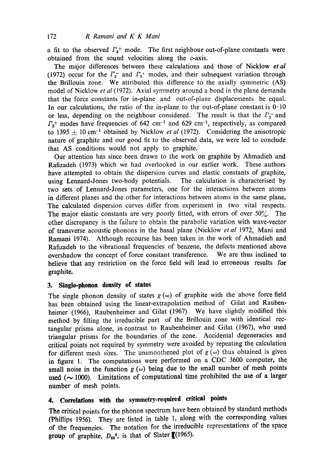a fit to the observed  $\Gamma_3$ <sup>+</sup> mode. The first neighbour out-of-plane constants were obtained from the sound velocities along the c-axis.

The major differences between these calculations and those of Nicklow *et al*  (1972) occur for the  $\Gamma_2^-$  and  $\Gamma_3^+$  modes, and their subsequent variation through the Brillouin zone. We attributed this difference to the axially symmetric (AS) model of Nicklow *et al* (t972). Axial symmetry around a bond in the plane demands that the force constants for in-plane and out-of-plane displacements be equal. In our calculations, the ratio of the in-plane to the out-of-plane constant is  $0.10$ or less, depending on the neighbour considered. The result is that the  $\Gamma_2^-$  and  $\Gamma_3$ <sup>+</sup> modes have frequencies of 642 cm<sup>-1</sup> and 629 cm<sup>-1</sup>, respectively, as compared to 1395  $\pm$  10 cm<sup>-1</sup> obtained by Nicklow *et al* (1972). Considering the anisotropic nature of graphite and our good fit to the observed data, we were led to conclude that AS conditions would not apply to graphite.

Our attention has since been drawn to the work on graphite by Ahmadieh and Rafizadeh (1973) which we had overlooked in our earlier work. These authors have attempted to obtain the dispersion curves and elastic constants of graphite, using Lennard-Jones two-body potentials. The calculation is characterised by two sets of Lennard-Jones parameters, one for the interactions between atoms in different planes and the other for interactions between atoms in the same plane. The calculated dispersion curves differ from experiment in two vital respects. The major elastic constants are very poorly fitted, with errors of over  $50\%$ . The other discrepancy is the failure to obtain the parabolic variation with wave-vector of transverse acoustic phonons in the basal plane (Nicklow *et al* 1972, Mani and Ramani 1974). Although recourse has been taken in the work of Ahmadieh and Rafizadeh to the vibrational frequencies of benzene, the defects mentioned above overshadow the concept of force constant transference. We are thus inclined to believe that any restriction on the force field will lead to erroneous results for graphite.

# **3. Single-phonon density of states**

The single phonon density of states  $g(\omega)$  of graphite with the above force field has been obtained using the linear-extrapolation method of Gilat and Raubenheimer (1966), Raubenheimer and Gilat (1967). We have slightly modified this method by filling the irreducible part of the Brillouin zone with identical rectangular prisms alone, in contrast to Raubenheimer and Gilat (1967), who used triangular prisms for the boundaries of the zone. Accidental degeneracies and critical points not required by symmetry were avoided by repeating the calculation for different mesh sizes. The unsmoothened plot of  $g(\omega)$  thus obtained is given in figure 1. The computations were performed on a CDC 3600 computer, the small noise in the function  $g(\omega)$  being due to the small number of mesh points used  $(\sim 1000)$ . Limitations of computational time prohibited the use of a larger number of mesh points.

# **4. Correlations with the symmetry-required critical points**

The critical points for the phonon spectrum have been obtained by standard methods (Phillips 1956). They are listed in table 1, along with the corresponding values of the frequencies. The notation for the irreducible representations of the space **group** of graphite,  $D_{6h}^{4}$ , is that of Slater  $\mathbb{I}(1965)$ .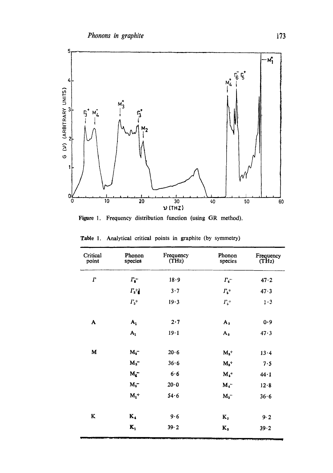

Figure 1. Frequency distribution function (using GR method).

| Critical<br>point | Phonon<br>species    | Frequency<br>(THz) | Phonon<br>species    | Frequency<br>(THz) |
|-------------------|----------------------|--------------------|----------------------|--------------------|
| Г                 | $\Gamma_{\bullet}^-$ | 18.9               | $\Gamma_6$ -         | 47.2               |
|                   | $\Gamma_3{}^+\!l$    | 3.7                | $\Gamma_{\rm s}{}^+$ | 47.3               |
|                   | $\Gamma_3^+$         | 19.3               | $\Gamma_5{}^+$       | $1\cdot 3$         |
| A                 | $A_1$                | 2.7                | $A_3$                | 0.9                |
|                   | $A_1$                | 19.1               | $A_3$                | 47.3               |
| M                 | $M_{2}^-$            | 20.6               | $M_{3}$ <sup>+</sup> | 13.4               |
|                   | $M_3^-$              | 36.6               | $M_{3}$ <sup>+</sup> | 7.5                |
|                   | $M_{\bullet}$        | 6.6                | $M_4$ <sup>+</sup>   | $44 - 1$           |
|                   | $M_2^-$              | 20.0               | $M_4^-$              | 12.8               |
|                   | $M_1$ <sup>+</sup>   | 54.6               | $M_3^-$              | 36.6               |
| K                 | $\mathbf{K}_4$       | 9.6                | $K_{2}$              | 9.2                |
|                   | $K_1$                | 39.2               | $K_{3}$              | 39.2               |

Table 1. Analytical critical points in graphite (by symmetry)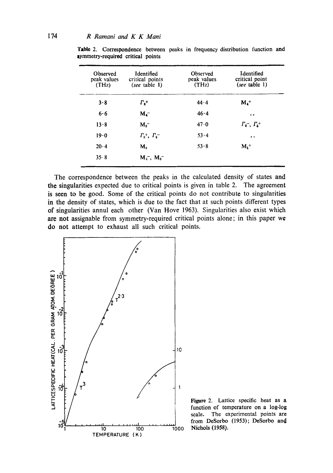| Observed<br>peak values<br>(THz) | Identified<br>critical points<br>(see table $1$ ) | Observed<br>peak values<br>(THz) | Identified<br>critical point<br>(see table $1$ ) |
|----------------------------------|---------------------------------------------------|----------------------------------|--------------------------------------------------|
| 3.8                              | $\Gamma_{\rm s}$ +                                | 44.4                             | $M_4$ <sup>+</sup>                               |
| 6.6                              | $M_{4}^-$                                         | 46.4                             |                                                  |
| 13.8                             | $M_{\rm a}$                                       | 47.0                             | $\Gamma_6^-$ , $\Gamma_5^+$                      |
| 19.0                             | $\Gamma_3^+$ , $\Gamma_2^-$                       | 53.4                             | $\bullet\bullet$                                 |
| 20.4                             | $M_{\circ}$                                       | $53 - 8$                         | $M_i^+$                                          |
| 35.8                             | $M_1^-$ , $M_2^-$                                 |                                  |                                                  |

Table 2. Correspondence between peaks in frequency distribution function and symmetry-required critical points

The correspondence between the peaks in the calculated density of states and the singularities expected due to critical points is given in table 2. The agreement is seen to be good. Some of the critical points do not contribute to singularities in the density of states, which is due to the fact that at such points different types of singularities annul each other (Van Hove 1963). Singularities also exist which are not assignable from symmetry-required critical points alone; in this paper we do not attempt to exhaust all such critical points.



Figure 2. Lattice specific heat as a function of temperature on a log-log scale. The experimental points are from DeSorbo (1953); DeSorbo and Nichols (1958),